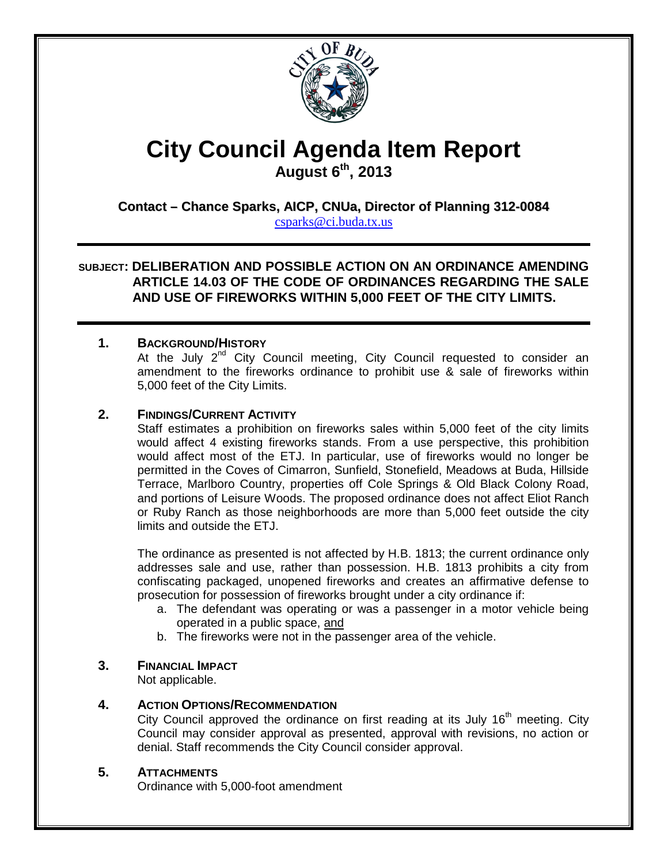

# **City Council Agenda Item Report**

**August 6th, 2013**

## **Contact – Chance Sparks, AICP, CNUa, Director of Planning 312-0084**

[csparks@ci.buda.tx.us](mailto:csparks@ci.buda.tx.us)

**SUBJECT: DELIBERATION AND POSSIBLE ACTION ON AN ORDINANCE AMENDING ARTICLE 14.03 OF THE CODE OF ORDINANCES REGARDING THE SALE AND USE OF FIREWORKS WITHIN 5,000 FEET OF THE CITY LIMITS.**

## **1. BACKGROUND/HISTORY**

At the July  $2<sup>nd</sup>$  City Council meeting, City Council requested to consider an amendment to the fireworks ordinance to prohibit use & sale of fireworks within 5,000 feet of the City Limits.

## **2. FINDINGS/CURRENT ACTIVITY**

Staff estimates a prohibition on fireworks sales within 5,000 feet of the city limits would affect 4 existing fireworks stands. From a use perspective, this prohibition would affect most of the ETJ. In particular, use of fireworks would no longer be permitted in the Coves of Cimarron, Sunfield, Stonefield, Meadows at Buda, Hillside Terrace, Marlboro Country, properties off Cole Springs & Old Black Colony Road, and portions of Leisure Woods. The proposed ordinance does not affect Eliot Ranch or Ruby Ranch as those neighborhoods are more than 5,000 feet outside the city limits and outside the ETJ.

The ordinance as presented is not affected by H.B. 1813; the current ordinance only addresses sale and use, rather than possession. H.B. 1813 prohibits a city from confiscating packaged, unopened fireworks and creates an affirmative defense to prosecution for possession of fireworks brought under a city ordinance if:

- a. The defendant was operating or was a passenger in a motor vehicle being operated in a public space, and
- b. The fireworks were not in the passenger area of the vehicle.

## **3. FINANCIAL IMPACT**

Not applicable.

## **4. ACTION OPTIONS/RECOMMENDATION**

City Council approved the ordinance on first reading at its July  $16<sup>th</sup>$  meeting. City Council may consider approval as presented, approval with revisions, no action or denial. Staff recommends the City Council consider approval.

## **5. ATTACHMENTS**

Ordinance with 5,000-foot amendment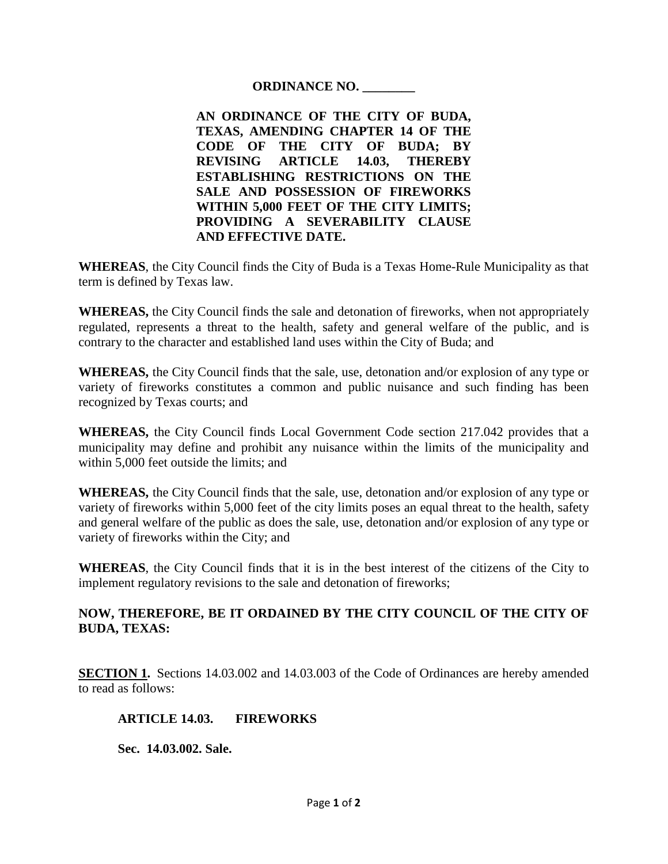### **ORDINANCE NO. \_\_\_\_\_\_\_\_**

**AN ORDINANCE OF THE CITY OF BUDA, TEXAS, AMENDING CHAPTER 14 OF THE CODE OF THE CITY OF BUDA; BY REVISING ARTICLE 14.03, THEREBY ESTABLISHING RESTRICTIONS ON THE SALE AND POSSESSION OF FIREWORKS WITHIN 5,000 FEET OF THE CITY LIMITS; PROVIDING A SEVERABILITY CLAUSE AND EFFECTIVE DATE.**

**WHEREAS**, the City Council finds the City of Buda is a Texas Home-Rule Municipality as that term is defined by Texas law.

**WHEREAS,** the City Council finds the sale and detonation of fireworks, when not appropriately regulated, represents a threat to the health, safety and general welfare of the public, and is contrary to the character and established land uses within the City of Buda; and

**WHEREAS,** the City Council finds that the sale, use, detonation and/or explosion of any type or variety of fireworks constitutes a common and public nuisance and such finding has been recognized by Texas courts; and

**WHEREAS,** the City Council finds Local Government Code section 217.042 provides that a municipality may define and prohibit any nuisance within the limits of the municipality and within 5,000 feet outside the limits; and

**WHEREAS,** the City Council finds that the sale, use, detonation and/or explosion of any type or variety of fireworks within 5,000 feet of the city limits poses an equal threat to the health, safety and general welfare of the public as does the sale, use, detonation and/or explosion of any type or variety of fireworks within the City; and

**WHEREAS**, the City Council finds that it is in the best interest of the citizens of the City to implement regulatory revisions to the sale and detonation of fireworks;

## **NOW, THEREFORE, BE IT ORDAINED BY THE CITY COUNCIL OF THE CITY OF BUDA, TEXAS:**

**SECTION 1.** Sections 14.03.002 and 14.03.003 of the Code of Ordinances are hereby amended to read as follows:

#### **ARTICLE 14.03. FIREWORKS**

**Sec. 14.03.002. Sale.**